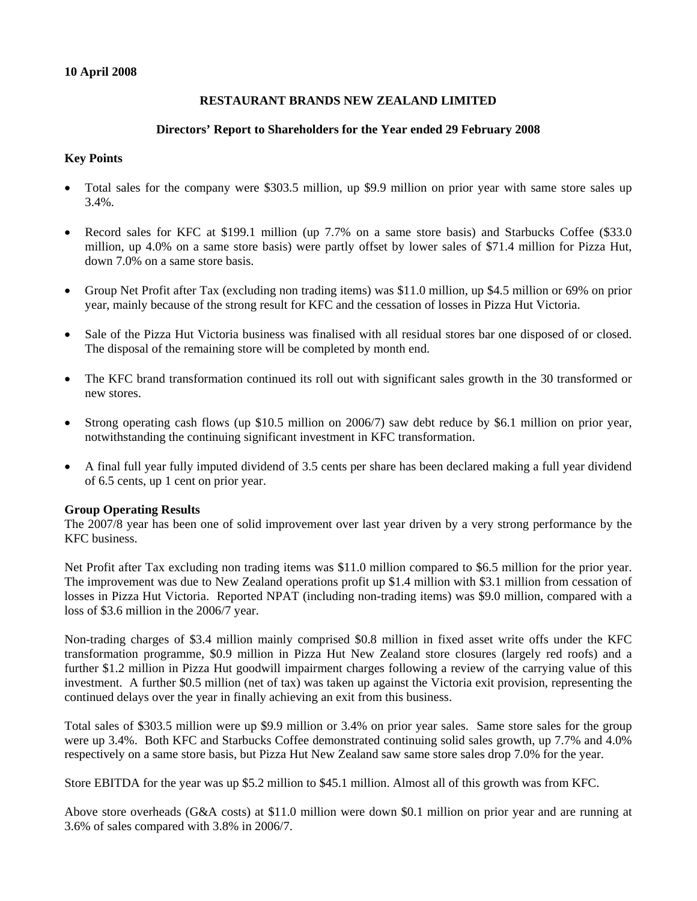## **10 April 2008**

# **RESTAURANT BRANDS NEW ZEALAND LIMITED**

## **Directors' Report to Shareholders for the Year ended 29 February 2008**

## **Key Points**

- Total sales for the company were \$303.5 million, up \$9.9 million on prior year with same store sales up 3.4%.
- Record sales for KFC at \$199.1 million (up 7.7% on a same store basis) and Starbucks Coffee (\$33.0) million, up 4.0% on a same store basis) were partly offset by lower sales of \$71.4 million for Pizza Hut, down 7.0% on a same store basis.
- Group Net Profit after Tax (excluding non trading items) was \$11.0 million, up \$4.5 million or 69% on prior year, mainly because of the strong result for KFC and the cessation of losses in Pizza Hut Victoria.
- Sale of the Pizza Hut Victoria business was finalised with all residual stores bar one disposed of or closed. The disposal of the remaining store will be completed by month end.
- The KFC brand transformation continued its roll out with significant sales growth in the 30 transformed or new stores.
- Strong operating cash flows (up \$10.5 million on 2006/7) saw debt reduce by \$6.1 million on prior year, notwithstanding the continuing significant investment in KFC transformation.
- A final full year fully imputed dividend of 3.5 cents per share has been declared making a full year dividend of 6.5 cents, up 1 cent on prior year.

#### **Group Operating Results**

The 2007/8 year has been one of solid improvement over last year driven by a very strong performance by the KFC business.

Net Profit after Tax excluding non trading items was \$11.0 million compared to \$6.5 million for the prior year. The improvement was due to New Zealand operations profit up \$1.4 million with \$3.1 million from cessation of losses in Pizza Hut Victoria. Reported NPAT (including non-trading items) was \$9.0 million, compared with a loss of \$3.6 million in the 2006/7 year.

Non-trading charges of \$3.4 million mainly comprised \$0.8 million in fixed asset write offs under the KFC transformation programme, \$0.9 million in Pizza Hut New Zealand store closures (largely red roofs) and a further \$1.2 million in Pizza Hut goodwill impairment charges following a review of the carrying value of this investment. A further \$0.5 million (net of tax) was taken up against the Victoria exit provision, representing the continued delays over the year in finally achieving an exit from this business.

Total sales of \$303.5 million were up \$9.9 million or 3.4% on prior year sales. Same store sales for the group were up 3.4%. Both KFC and Starbucks Coffee demonstrated continuing solid sales growth, up 7.7% and 4.0% respectively on a same store basis, but Pizza Hut New Zealand saw same store sales drop 7.0% for the year.

Store EBITDA for the year was up \$5.2 million to \$45.1 million. Almost all of this growth was from KFC.

Above store overheads (G&A costs) at \$11.0 million were down \$0.1 million on prior year and are running at 3.6% of sales compared with 3.8% in 2006/7.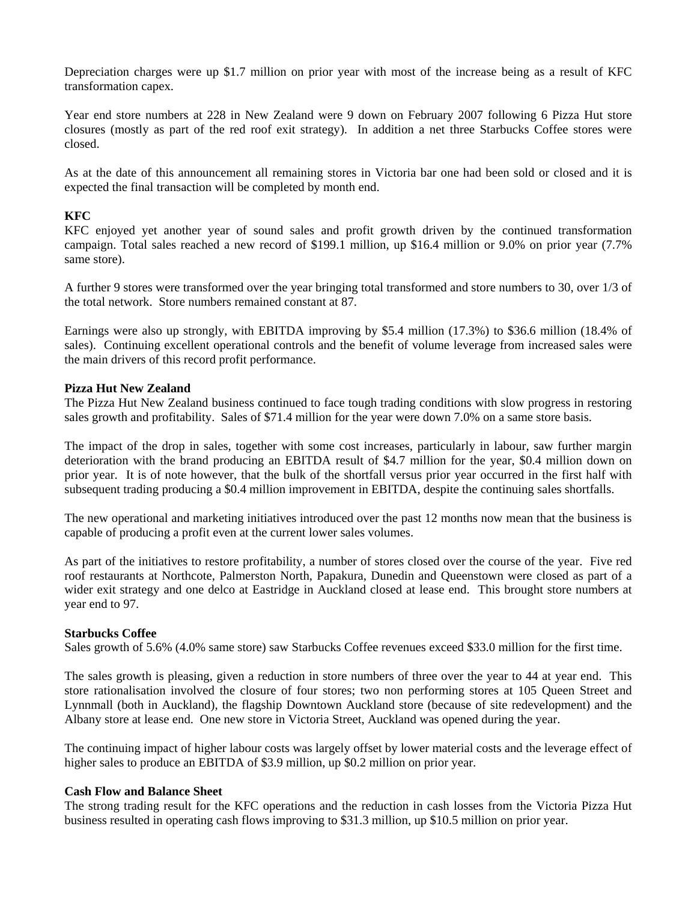Depreciation charges were up \$1.7 million on prior year with most of the increase being as a result of KFC transformation capex.

Year end store numbers at 228 in New Zealand were 9 down on February 2007 following 6 Pizza Hut store closures (mostly as part of the red roof exit strategy). In addition a net three Starbucks Coffee stores were closed.

As at the date of this announcement all remaining stores in Victoria bar one had been sold or closed and it is expected the final transaction will be completed by month end.

## **KFC**

KFC enjoyed yet another year of sound sales and profit growth driven by the continued transformation campaign. Total sales reached a new record of \$199.1 million, up \$16.4 million or 9.0% on prior year (7.7% same store).

A further 9 stores were transformed over the year bringing total transformed and store numbers to 30, over 1/3 of the total network. Store numbers remained constant at 87.

Earnings were also up strongly, with EBITDA improving by \$5.4 million (17.3%) to \$36.6 million (18.4% of sales). Continuing excellent operational controls and the benefit of volume leverage from increased sales were the main drivers of this record profit performance.

#### **Pizza Hut New Zealand**

The Pizza Hut New Zealand business continued to face tough trading conditions with slow progress in restoring sales growth and profitability. Sales of \$71.4 million for the year were down 7.0% on a same store basis.

The impact of the drop in sales, together with some cost increases, particularly in labour, saw further margin deterioration with the brand producing an EBITDA result of \$4.7 million for the year, \$0.4 million down on prior year. It is of note however, that the bulk of the shortfall versus prior year occurred in the first half with subsequent trading producing a \$0.4 million improvement in EBITDA, despite the continuing sales shortfalls.

The new operational and marketing initiatives introduced over the past 12 months now mean that the business is capable of producing a profit even at the current lower sales volumes.

As part of the initiatives to restore profitability, a number of stores closed over the course of the year. Five red roof restaurants at Northcote, Palmerston North, Papakura, Dunedin and Queenstown were closed as part of a wider exit strategy and one delco at Eastridge in Auckland closed at lease end. This brought store numbers at year end to 97.

#### **Starbucks Coffee**

Sales growth of 5.6% (4.0% same store) saw Starbucks Coffee revenues exceed \$33.0 million for the first time.

The sales growth is pleasing, given a reduction in store numbers of three over the year to 44 at year end. This store rationalisation involved the closure of four stores; two non performing stores at 105 Queen Street and Lynnmall (both in Auckland), the flagship Downtown Auckland store (because of site redevelopment) and the Albany store at lease end. One new store in Victoria Street, Auckland was opened during the year.

The continuing impact of higher labour costs was largely offset by lower material costs and the leverage effect of higher sales to produce an EBITDA of \$3.9 million, up \$0.2 million on prior year.

## **Cash Flow and Balance Sheet**

The strong trading result for the KFC operations and the reduction in cash losses from the Victoria Pizza Hut business resulted in operating cash flows improving to \$31.3 million, up \$10.5 million on prior year.